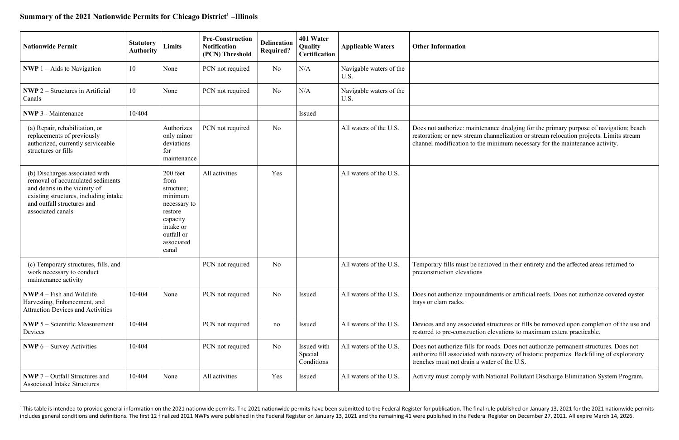## Summary of the 2021 Nationwide Permits for Chicago District<sup>1</sup> -Illinois

| <b>Nationwide Permit</b>                                                                                                                                                                        | <b>Statutory</b><br><b>Authority</b> | Limits                                                                                                                             | <b>Pre-Construction</b><br><b>Notification</b><br>(PCN) Threshold | <b>Delineation</b><br><b>Required?</b> | 401 Water<br>Quality<br><b>Certification</b> | <b>Applicable Waters</b>        | <b>Other Information</b>                                                                                   |
|-------------------------------------------------------------------------------------------------------------------------------------------------------------------------------------------------|--------------------------------------|------------------------------------------------------------------------------------------------------------------------------------|-------------------------------------------------------------------|----------------------------------------|----------------------------------------------|---------------------------------|------------------------------------------------------------------------------------------------------------|
| <b>NWP</b> $1 -$ Aids to Navigation                                                                                                                                                             | 10                                   | None                                                                                                                               | PCN not required                                                  | No                                     | N/A                                          | Navigable waters of the<br>U.S. |                                                                                                            |
| <b>NWP</b> $2$ – Structures in Artificial<br>Canals                                                                                                                                             | 10                                   | None                                                                                                                               | PCN not required                                                  | No                                     | N/A                                          | Navigable waters of the<br>U.S. |                                                                                                            |
| <b>NWP 3 - Maintenance</b>                                                                                                                                                                      | 10/404                               |                                                                                                                                    |                                                                   |                                        | Issued                                       |                                 |                                                                                                            |
| (a) Repair, rehabilitation, or<br>replacements of previously<br>authorized, currently serviceable<br>structures or fills                                                                        |                                      | Authorizes<br>only minor<br>deviations<br>for<br>maintenance                                                                       | PCN not required                                                  | No                                     |                                              | All waters of the U.S.          | Does not authorize: maintenance<br>restoration; or new stream chann<br>channel modification to the min     |
| (b) Discharges associated with<br>removal of accumulated sediments<br>and debris in the vicinity of<br>existing structures, including intake<br>and outfall structures and<br>associated canals |                                      | 200 feet<br>from<br>structure;<br>minimum<br>necessary to<br>restore<br>capacity<br>intake or<br>outfall or<br>associated<br>canal | All activities                                                    | Yes                                    |                                              | All waters of the U.S.          |                                                                                                            |
| (c) Temporary structures, fills, and<br>work necessary to conduct<br>maintenance activity                                                                                                       |                                      |                                                                                                                                    | PCN not required                                                  | No                                     |                                              | All waters of the U.S.          | Temporary fills must be remove<br>preconstruction elevations                                               |
| $\bf NWP$ 4 – Fish and Wildlife<br>Harvesting, Enhancement, and<br><b>Attraction Devices and Activities</b>                                                                                     | 10/404                               | None                                                                                                                               | PCN not required                                                  | No                                     | Issued                                       | All waters of the U.S.          | Does not authorize impoundmen<br>trays or clam racks.                                                      |
| <b>NWP</b> $5 -$ Scientific Measurement<br>Devices                                                                                                                                              | 10/404                               |                                                                                                                                    | PCN not required                                                  | no                                     | Issued                                       | All waters of the U.S.          | Devices and any associated struc<br>restored to pre-construction elev                                      |
| <b>NWP</b> $6 -$ Survey Activities                                                                                                                                                              | 10/404                               |                                                                                                                                    | PCN not required                                                  | No                                     | Issued with<br>Special<br>Conditions         | All waters of the U.S.          | Does not authorize fills for road<br>authorize fill associated with rec<br>trenches must not drain a water |
| <b>NWP</b> $7$ – Outfall Structures and<br><b>Associated Intake Structures</b>                                                                                                                  | 10/404                               | None                                                                                                                               | All activities                                                    | Yes                                    | Issued                                       | All waters of the U.S.          | Activity must comply with Natio                                                                            |

<sup>1</sup> This table is intended to provide general information on the 2021 nationwide permits. The 2021 nationwide permits have been submitted to the Federal Register for publication. The final rule published on January 13, 202 includes general conditions and definitions. The first 12 finalized 2021 NWPs were published in the Federal Register on January 13, 2021 and the remaining 41 were published in the Federal Register on December 27, 2021. All

e dredging for the primary purpose of navigation; beach nelization or stream relocation projects. Limits stream imum necessary for the maintenance activity.

ed in their entirety and the affected areas returned to

nts or artificial reefs. Does not authorize covered oyster

ctures or fills be removed upon completion of the use and vations to maximum extent practicable.

ls. Does not authorize permanent structures. Does not covery of historic properties. Backfilling of exploratory of the U.S.

onal Pollutant Discharge Elimination System Program.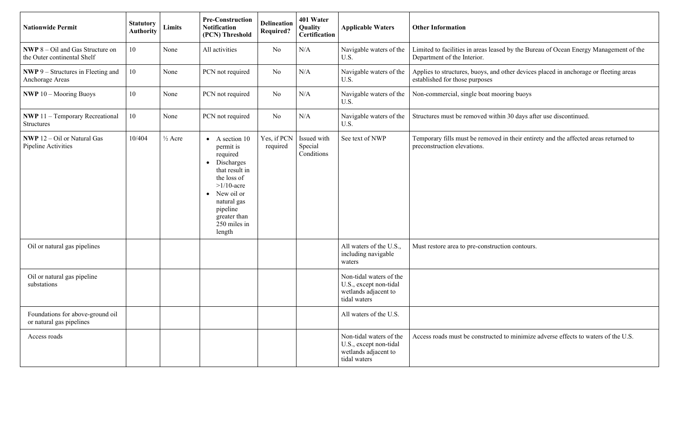| <b>Nationwide Permit</b>                                                 | <b>Statutory</b><br><b>Authority</b> | Limits             | <b>Pre-Construction</b><br><b>Notification</b><br>(PCN) Threshold                                                                                                                                                               | <b>Delineation</b><br><b>Required?</b> | 401 Water<br>Quality<br>Certification | <b>Applicable Waters</b>                                                                  | <b>Other Information</b>                                            |
|--------------------------------------------------------------------------|--------------------------------------|--------------------|---------------------------------------------------------------------------------------------------------------------------------------------------------------------------------------------------------------------------------|----------------------------------------|---------------------------------------|-------------------------------------------------------------------------------------------|---------------------------------------------------------------------|
| <b>NWP</b> $8 - Oil$ and Gas Structure on<br>the Outer continental Shelf | 10                                   | None               | All activities                                                                                                                                                                                                                  | N <sub>o</sub>                         | N/A                                   | Navigable waters of the<br>U.S.                                                           | Limited to facilities in areas leas<br>Department of the Interior.  |
| <b>NWP</b> 9 – Structures in Fleeting and<br>Anchorage Areas             | 10                                   | None               | PCN not required                                                                                                                                                                                                                | N <sub>o</sub>                         | N/A                                   | Navigable waters of the<br>U.S.                                                           | Applies to structures, buoys, and<br>established for those purposes |
| <b>NWP</b> 10 - Mooring Buoys                                            | 10                                   | None               | PCN not required                                                                                                                                                                                                                | No                                     | N/A                                   | Navigable waters of the<br>U.S.                                                           | Non-commercial, single boat mo                                      |
| <b>NWP</b> 11 - Temporary Recreational<br><b>Structures</b>              | 10                                   | None               | PCN not required                                                                                                                                                                                                                | N <sub>o</sub>                         | N/A                                   | Navigable waters of the<br>U.S.                                                           | Structures must be removed with                                     |
| <b>NWP</b> 12 – Oil or Natural Gas<br>Pipeline Activities                | 10/404                               | $\frac{1}{2}$ Acre | A section 10<br>$\bullet$<br>permit is<br>required<br>Discharges<br>$\bullet$<br>that result in<br>the loss of<br>$>1/10$ -acre<br>New oil or<br>$\bullet$<br>natural gas<br>pipeline<br>greater than<br>250 miles in<br>length | Yes, if PCN<br>required                | Issued with<br>Special<br>Conditions  | See text of NWP                                                                           | Temporary fills must be remove<br>preconstruction elevations.       |
| Oil or natural gas pipelines                                             |                                      |                    |                                                                                                                                                                                                                                 |                                        |                                       | All waters of the U.S.,<br>including navigable<br>waters                                  | Must restore area to pre-constru-                                   |
| Oil or natural gas pipeline<br>substations                               |                                      |                    |                                                                                                                                                                                                                                 |                                        |                                       | Non-tidal waters of the<br>U.S., except non-tidal<br>wetlands adjacent to<br>tidal waters |                                                                     |
| Foundations for above-ground oil<br>or natural gas pipelines             |                                      |                    |                                                                                                                                                                                                                                 |                                        |                                       | All waters of the U.S.                                                                    |                                                                     |
| Access roads                                                             |                                      |                    |                                                                                                                                                                                                                                 |                                        |                                       | Non-tidal waters of the<br>U.S., except non-tidal<br>wetlands adjacent to<br>tidal waters | Access roads must be constructe                                     |

sed by the Bureau of Ocean Energy Management of the

d other devices placed in anchorage or fleeting areas

Nooring buoys

thin 30 days after use discontinued.

ed in their entirety and the affected areas returned to

action contours.

ed to minimize adverse effects to waters of the U.S.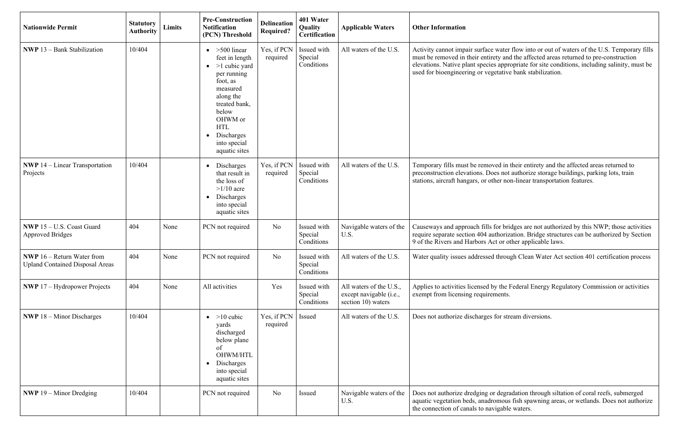| <b>Nationwide Permit</b>                                                      | <b>Statutory</b><br><b>Authority</b> | Limits | <b>Pre-Construction</b><br><b>Notification</b><br>(PCN) Threshold                                                                                                                                                                  | <b>Delineation</b><br><b>Required?</b> | 401 Water<br>Quality<br><b>Certification</b> | <b>Applicable Waters</b>                                                 | <b>Other Information</b>                                                                                                                     |
|-------------------------------------------------------------------------------|--------------------------------------|--------|------------------------------------------------------------------------------------------------------------------------------------------------------------------------------------------------------------------------------------|----------------------------------------|----------------------------------------------|--------------------------------------------------------------------------|----------------------------------------------------------------------------------------------------------------------------------------------|
| <b>NWP</b> 13 - Bank Stabilization                                            | 10/404                               |        | $>500$ linear<br>feet in length<br>$>1$ cubic yard<br>$\bullet$<br>per running<br>foot, as<br>measured<br>along the<br>treated bank,<br>below<br>OHWM or<br><b>HTL</b><br>Discharges<br>$\bullet$<br>into special<br>aquatic sites | Yes, if PCN<br>required                | Issued with<br>Special<br>Conditions         | All waters of the U.S.                                                   | Activity cannot impair surface v<br>must be removed in their entiret<br>elevations. Native plant species<br>used for bioengineering or veget |
| <b>NWP</b> $14$ – Linear Transportation<br>Projects                           | 10/404                               |        | Discharges<br>$\bullet$<br>that result in<br>the loss of<br>$>1/10$ acre<br>Discharges<br>$\bullet$<br>into special<br>aquatic sites                                                                                               | Yes, if PCN<br>required                | Issued with<br>Special<br>Conditions         | All waters of the U.S.                                                   | Temporary fills must be remove<br>preconstruction elevations. Does<br>stations, aircraft hangars, or other                                   |
| NWP 15 - U.S. Coast Guard<br><b>Approved Bridges</b>                          | 404                                  | None   | PCN not required                                                                                                                                                                                                                   | N <sub>o</sub>                         | Issued with<br>Special<br>Conditions         | Navigable waters of the<br>U.S.                                          | Causeways and approach fills fo<br>require separate section 404 autl<br>9 of the Rivers and Harbors Act                                      |
| <b>NWP</b> $16$ – Return Water from<br><b>Upland Contained Disposal Areas</b> | 404                                  | None   | PCN not required                                                                                                                                                                                                                   | N <sub>o</sub>                         | Issued with<br>Special<br>Conditions         | All waters of the U.S.                                                   | Water quality issues addressed t                                                                                                             |
| <b>NWP</b> $17$ – Hydropower Projects                                         | 404                                  | None   | All activities                                                                                                                                                                                                                     | Yes                                    | Issued with<br>Special<br>Conditions         | All waters of the U.S.,<br>except navigable (i.e.,<br>section 10) waters | Applies to activities licensed by<br>exempt from licensing requirem                                                                          |
| <b>NWP</b> $18 -$ Minor Discharges                                            | 10/404                               |        | $>10$ cubic<br>$\bullet$<br>yards<br>discharged<br>below plane<br>of<br>OHWM/HTL<br>Discharges<br>$\bullet$<br>into special<br>aquatic sites                                                                                       | Yes, if PCN<br>required                | Issued                                       | All waters of the U.S.                                                   | Does not authorize discharges fo                                                                                                             |
| <b>NWP</b> 19 – Minor Dredging                                                | 10/404                               |        | PCN not required                                                                                                                                                                                                                   | N <sub>o</sub>                         | Issued                                       | Navigable waters of the<br>U.S.                                          | Does not authorize dredging or<br>aquatic vegetation beds, anadror<br>the connection of canals to navig                                      |

water flow into or out of waters of the U.S. Temporary fills ty and the affected areas returned to pre-construction appropriate for site conditions, including salinity, must be nd regions.<br>etative bank stabilization.

ed in their entirety and the affected areas returned to es not authorize storage buildings, parking lots, train er non-linear transportation features.

or bridges are not authorized by this NWP; those activities horization. Bridge structures can be authorized by Section t or other applicable laws.

through Clean Water Act section 401 certification process

the Federal Energy Regulatory Commission or activities ents.

Itsued All waters or stream diversions.

degradation through siltation of coral reefs, submerged mous fish spawning areas, or wetlands. Does not authorize igable waters.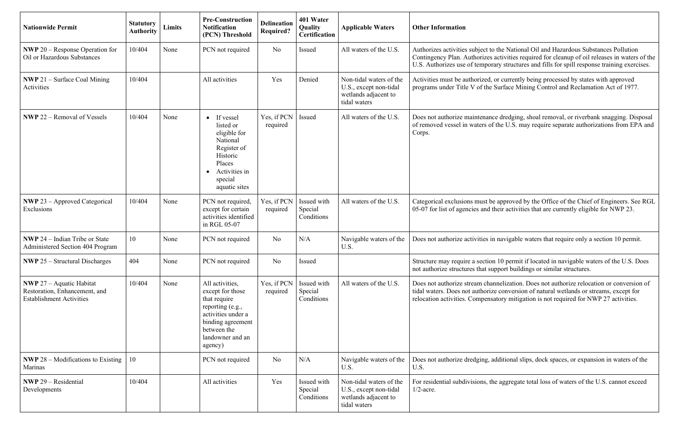| <b>Nationwide Permit</b>                                                                            | <b>Statutory</b><br>Authority | <b>Limits</b> | <b>Pre-Construction</b><br><b>Notification</b><br>(PCN) Threshold                                                                                                | <b>Delineation</b><br><b>Required?</b> | 401 Water<br><b>Quality</b><br>Certification | <b>Applicable Waters</b>                                                                  | <b>Other Information</b>                                                                                                                                                                                                                                                             |
|-----------------------------------------------------------------------------------------------------|-------------------------------|---------------|------------------------------------------------------------------------------------------------------------------------------------------------------------------|----------------------------------------|----------------------------------------------|-------------------------------------------------------------------------------------------|--------------------------------------------------------------------------------------------------------------------------------------------------------------------------------------------------------------------------------------------------------------------------------------|
| <b>NWP</b> 20 – Response Operation for<br>Oil or Hazardous Substances                               | 10/404                        | None          | PCN not required                                                                                                                                                 | No                                     | Issued                                       | All waters of the U.S.                                                                    | Authorizes activities subject to the National Oil and Hazardous Substances Pollution<br>Contingency Plan. Authorizes activities required for cleanup of oil releases in waters of tl<br>U.S. Authorizes use of temporary structures and fills for spill response training exercises. |
| <b>NWP</b> 21 – Surface Coal Mining<br>Activities                                                   | 10/404                        |               | All activities                                                                                                                                                   | Yes                                    | Denied                                       | Non-tidal waters of the<br>U.S., except non-tidal<br>wetlands adjacent to<br>tidal waters | Activities must be authorized, or currently being processed by states with approved<br>programs under Title V of the Surface Mining Control and Reclamation Act of 1977.                                                                                                             |
| <b>NWP</b> 22 – Removal of Vessels                                                                  | 10/404                        | None          | If vessel<br>listed or<br>eligible for<br>National<br>Register of<br>Historic<br>Places<br>Activities in<br>$\bullet$<br>special<br>aquatic sites                | Yes, if PCN<br>required                | Issued                                       | All waters of the U.S.                                                                    | Does not authorize maintenance dredging, shoal removal, or riverbank snagging. Disposa<br>of removed vessel in waters of the U.S. may require separate authorizations from EPA an<br>Corps.                                                                                          |
| <b>NWP</b> 23 – Approved Categorical<br>Exclusions                                                  | 10/404                        | None          | PCN not required,<br>except for certain<br>activities identified<br>in RGL 05-07                                                                                 | Yes, if PCN<br>required                | Issued with<br>Special<br>Conditions         | All waters of the U.S.                                                                    | Categorical exclusions must be approved by the Office of the Chief of Engineers. See RC<br>05-07 for list of agencies and their activities that are currently eligible for NWP 23.                                                                                                   |
| <b>NWP</b> 24 – Indian Tribe or State<br><b>Administered Section 404 Program</b>                    | 10                            | None          | PCN not required                                                                                                                                                 | N <sub>o</sub>                         | N/A                                          | Navigable waters of the<br>U.S.                                                           | Does not authorize activities in navigable waters that require only a section 10 permit.                                                                                                                                                                                             |
| <b>NWP</b> $25$ – Structural Discharges                                                             | 404                           | None          | PCN not required                                                                                                                                                 | No                                     | Issued                                       |                                                                                           | Structure may require a section 10 permit if located in navigable waters of the U.S. Does<br>not authorize structures that support buildings or similar structures.                                                                                                                  |
| <b>NWP</b> 27 - Aquatic Habitat<br>Restoration, Enhancement, and<br><b>Establishment Activities</b> | 10/404                        | None          | All activities,<br>except for those<br>that require<br>reporting (e.g.,<br>activities under a<br>binding agreement<br>between the<br>landowner and an<br>agency) | Yes, if PCN<br>required                | Issued with<br>Special<br>Conditions         | All waters of the U.S.                                                                    | Does not authorize stream channelization. Does not authorize relocation or conversion of<br>tidal waters. Does not authorize conversion of natural wetlands or streams, except for<br>relocation activities. Compensatory mitigation is not required for NWP 27 activities.          |
| <b>NWP</b> 28 – Modifications to Existing<br>Marinas                                                | 10                            |               | PCN not required                                                                                                                                                 | No                                     | N/A                                          | Navigable waters of the<br>U.S.                                                           | Does not authorize dredging, additional slips, dock spaces, or expansion in waters of the<br>U.S.                                                                                                                                                                                    |
| <b>NWP</b> 29 – Residential<br>Developments                                                         | 10/404                        |               | All activities                                                                                                                                                   | Yes                                    | Issued with<br>Special<br>Conditions         | Non-tidal waters of the<br>U.S., except non-tidal<br>wetlands adjacent to<br>tidal waters | For residential subdivisions, the aggregate total loss of waters of the U.S. cannot exceed<br>$1/2$ -acre.                                                                                                                                                                           |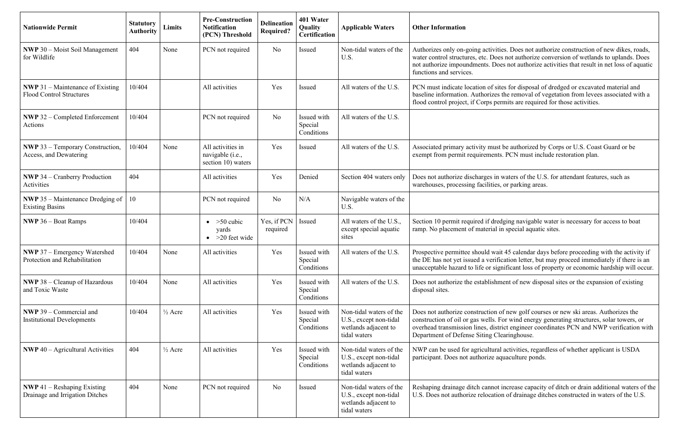| <b>Nationwide Permit</b>                                                   | <b>Statutory</b><br><b>Authority</b> | Limits             | <b>Pre-Construction</b><br><b>Notification</b><br>(PCN) Threshold | <b>Delineation</b><br><b>Required?</b> | 401 Water<br>Quality<br><b>Certification</b> | <b>Applicable Waters</b>                                                                  | <b>Other Information</b>                                                                                                                    |
|----------------------------------------------------------------------------|--------------------------------------|--------------------|-------------------------------------------------------------------|----------------------------------------|----------------------------------------------|-------------------------------------------------------------------------------------------|---------------------------------------------------------------------------------------------------------------------------------------------|
| <b>NWP</b> 30 – Moist Soil Management<br>for Wildlife                      | 404                                  | None               | PCN not required                                                  | N <sub>o</sub>                         | Issued                                       | Non-tidal waters of the<br>U.S.                                                           | Authorizes only on-going activit<br>water control structures, etc. Do<br>not authorize impoundments. Do<br>functions and services.          |
| <b>NWP 31 – Maintenance of Existing</b><br><b>Flood Control Structures</b> | 10/404                               |                    | All activities                                                    | Yes                                    | Issued                                       | All waters of the U.S.                                                                    | PCN must indicate location of si<br>baseline information. Authorizes<br>flood control project, if Corps pe                                  |
| <b>NWP 32 - Completed Enforcement</b><br>Actions                           | 10/404                               |                    | PCN not required                                                  | N <sub>o</sub>                         | Issued with<br>Special<br>Conditions         | All waters of the U.S.                                                                    |                                                                                                                                             |
| <b>NWP</b> 33 – Temporary Construction,<br>Access, and Dewatering          | 10/404                               | None               | All activities in<br>navigable (i.e.,<br>section 10) waters       | Yes                                    | Issued                                       | All waters of the U.S.                                                                    | Associated primary activity mus<br>exempt from permit requirement                                                                           |
| <b>NWP</b> 34 – Cranberry Production<br>Activities                         | 404                                  |                    | All activities                                                    | Yes                                    | Denied                                       | Section 404 waters only                                                                   | Does not authorize discharges in<br>warehouses, processing facilities                                                                       |
| <b>NWP</b> 35 – Maintenance Dredging of<br><b>Existing Basins</b>          | 10                                   |                    | PCN not required                                                  | No                                     | N/A                                          | Navigable waters of the<br>U.S.                                                           |                                                                                                                                             |
| <b>NWP</b> $36 -$ Boat Ramps                                               | 10/404                               |                    | $>50$ cubic<br>$\bullet$<br>yards<br>$>20$ feet wide              | Yes, if PCN<br>required                | Issued                                       | All waters of the U.S.,<br>except special aquatic<br>sites                                | Section 10 permit required if dre<br>ramp. No placement of material                                                                         |
| <b>NWP</b> 37 – Emergency Watershed<br>Protection and Rehabilitation       | 10/404                               | None               | All activities                                                    | Yes                                    | Issued with<br>Special<br>Conditions         | All waters of the U.S.                                                                    | Prospective permittee should wa<br>the DE has not yet issued a verif<br>unacceptable hazard to life or sig                                  |
| <b>NWP 38 - Cleanup of Hazardous</b><br>and Toxic Waste                    | 10/404                               | None               | All activities                                                    | Yes                                    | Issued with<br>Special<br>Conditions         | All waters of the U.S.                                                                    | Does not authorize the establish<br>disposal sites.                                                                                         |
| <b>NWP</b> 39 – Commercial and<br><b>Institutional Developments</b>        | 10/404                               | $\frac{1}{2}$ Acre | All activities                                                    | Yes                                    | Issued with<br>Special<br>Conditions         | Non-tidal waters of the<br>U.S., except non-tidal<br>wetlands adjacent to<br>tidal waters | Does not authorize construction<br>construction of oil or gas wells.<br>overhead transmission lines, dist<br>Department of Defense Siting C |
| <b>NWP</b> 40 - Agricultural Activities                                    | 404                                  | $\frac{1}{2}$ Acre | All activities                                                    | Yes                                    | Issued with<br>Special<br>Conditions         | Non-tidal waters of the<br>U.S., except non-tidal<br>wetlands adjacent to<br>tidal waters | NWP can be used for agricultura<br>participant. Does not authorize a                                                                        |
| <b>NWP</b> 41 – Reshaping Existing<br>Drainage and Irrigation Ditches      | 404                                  | None               | PCN not required                                                  | N <sub>o</sub>                         | Issued                                       | Non-tidal waters of the<br>U.S., except non-tidal<br>wetlands adjacent to<br>tidal waters | Reshaping drainage ditch cannot<br>U.S. Does not authorize relocation                                                                       |

ties. Does not authorize construction of new dikes, roads, es not authorize conversion of wetlands to uplands. Does not authorize activities that result in net loss of aquatic

ites for disposal of dredged or excavated material and is the removal of vegetation from levees associated with a  $\sum_{n=1}^{\infty}$  for those activities.

st be authorized by Corps or U.S. Coast Guard or be ats. PCN must include restoration plan.

waters of the U.S. for attendant features, such as es, or parking areas.

edging navigable water is necessary for access to boat  $\alpha$  in special aquatic sites.

ait 45 calendar days before proceeding with the activity if fication letter, but may proceed immediately if there is an gnificant loss of property or economic hardship will occur.

ment of new disposal sites or the expansion of existing

of new golf courses or new ski areas. Authorizes the For wind energy generating structures, solar towers, or trict engineer coordinates  $\overline{PCN}$  and NWP verification with learing house.

ral activities, regardless of whether applicant is USDA aquaculture ponds.

t increase capacity of ditch or drain additional waters of the ion of drainage ditches constructed in waters of the U.S.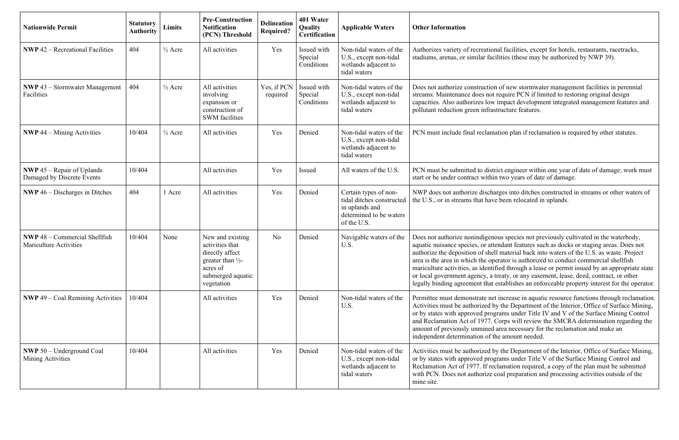| <b>Nationwide Permit</b>                                              | <b>Statutory</b><br><b>Authority</b> | Limits             | <b>Pre-Construction</b><br><b>Notification</b><br>(PCN) Threshold                                                          | <b>Delineation</b><br><b>Required?</b> | 401 Water<br>Quality<br><b>Certification</b> | <b>Applicable Waters</b>                                                                                       | <b>Other Information</b>                                                                                                                                                                                                                                        |
|-----------------------------------------------------------------------|--------------------------------------|--------------------|----------------------------------------------------------------------------------------------------------------------------|----------------------------------------|----------------------------------------------|----------------------------------------------------------------------------------------------------------------|-----------------------------------------------------------------------------------------------------------------------------------------------------------------------------------------------------------------------------------------------------------------|
| <b>NWP</b> $42$ – Recreational Facilities                             | 404                                  | $\frac{1}{2}$ Acre | All activities                                                                                                             | Yes                                    | Issued with<br>Special<br>Conditions         | Non-tidal waters of the<br>U.S., except non-tidal<br>wetlands adjacent to<br>tidal waters                      | Authorizes variety of recreations<br>stadiums, arenas, or similar facil                                                                                                                                                                                         |
| <b>NWP</b> 43 - Stormwater Management<br>Facilities                   | 404                                  | $\frac{1}{2}$ Acre | All activities<br>involving<br>expansion or<br>construction of<br><b>SWM</b> facilities                                    | Yes, if PCN<br>required                | Issued with<br>Special<br>Conditions         | Non-tidal waters of the<br>U.S., except non-tidal<br>wetlands adjacent to<br>tidal waters                      | Does not authorize construction<br>streams. Maintenance does not r<br>capacities. Also authorizes low i<br>pollutant reduction green infrast                                                                                                                    |
| <b>NWP</b> 44 – Mining Activities                                     | 10/404                               | $\frac{1}{2}$ Acre | All activities                                                                                                             | Yes                                    | Denied                                       | Non-tidal waters of the<br>U.S., except non-tidal<br>wetlands adjacent to<br>tidal waters                      | PCN must include final reclamat                                                                                                                                                                                                                                 |
| <b>NWP</b> 45 – Repair of Uplands<br>Damaged by Discrete Events       | 10/404                               |                    | All activities                                                                                                             | Yes                                    | Issued                                       | All waters of the U.S.                                                                                         | PCN must be submitted to distri-<br>start or be under contract within                                                                                                                                                                                           |
| <b>NWP</b> 46 – Discharges in Ditches                                 | 404                                  | 1 Acre             | All activities                                                                                                             | Yes                                    | Denied                                       | Certain types of non-<br>tidal ditches constructed<br>in uplands and<br>determined to be waters<br>of the U.S. | NWP does not authorize dischar<br>the U.S., or in streams that have                                                                                                                                                                                             |
| <b>NWP</b> 48 – Commercial Shellfish<br><b>Mariculture Activities</b> | 10/404                               | None               | New and existing<br>activities that<br>directly affect<br>greater than 1/2-<br>acres of<br>submerged aquatic<br>vegetation | N <sub>o</sub>                         | Denied                                       | Navigable waters of the<br>U.S.                                                                                | Does not authorize nonindigenot<br>aquatic nuisance species, or atter<br>authorize the deposition of shell<br>area is the area in which the open<br>mariculture activities, as identifi<br>or local government agency, a tr<br>legally binding agreement that e |
| <b>NWP</b> 49 – Coal Remining Activities                              | 10/404                               |                    | All activities                                                                                                             | Yes                                    | Denied                                       | Non-tidal waters of the<br>U.S.                                                                                | Permittee must demonstrate net<br>Activities must be authorized by<br>or by states with approved progr<br>and Reclamation Act of 1977. C<br>amount of previously unmined a<br>independent determination of the                                                  |
| <b>NWP</b> 50 - Underground Coal<br>Mining Activities                 | 10/404                               |                    | All activities                                                                                                             | Yes                                    | Denied                                       | Non-tidal waters of the<br>U.S., except non-tidal<br>wetlands adjacent to<br>tidal waters                      | Activities must be authorized by<br>or by states with approved progr<br>Reclamation Act of 1977. If recl<br>with PCN. Does not authorize co<br>mine site.                                                                                                       |

al facilities, except for hotels, restaurants, racetracks, lities (these may be authorized by NWP 39).

of new stormwater management facilities in perennial require PCN if limited to restoring original design impact development integrated management features and ructure features.

ttion plan if reclamation is required by other statutes.

ict engineer within one year of date of damage; work must I two years of date of damage.

rges into ditches constructed in streams or other waters of been relocated in uplands.

ous species not previously cultivated in the waterbody, endant features such as docks or staging areas. Does not I material back into waters of the U.S. as waste. Project rator is authorized to conduct commercial shellfish ied through a lease or permit issued by an appropriate state reaty, or any easement, lease, deed, contract, or other establishes an enforceable property interest for the operator.

increase in aquatic resource functions through reclamation. the Department of the Interior, Office of Surface Mining, rams under Title IV and V of the Surface Mining Control Corps will review the SMCRA determination regarding the area necessary for the reclamation and make an e amount needed.

the Department of the Interior, Office of Surface Mining, rams under Title V of the Surface Mining Control and lamation required, a copy of the plan must be submitted oal preparation and processing activities outside of the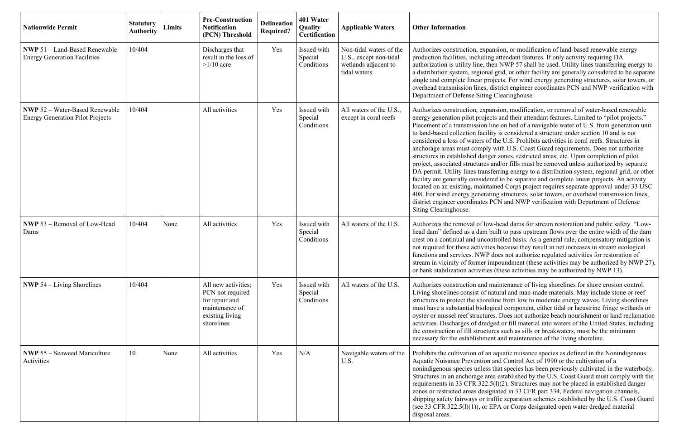| <b>Nationwide Permit</b>                                                         | <b>Statutory</b><br><b>Authority</b> | Limits | <b>Pre-Construction</b><br><b>Notification</b><br>(PCN) Threshold                                            | <b>Delineation</b><br><b>Required?</b> | 401 Water<br>Quality<br><b>Certification</b> | <b>Applicable Waters</b>                                                                  | <b>Other Information</b>                                                                                                                                                                                                                                                                                                                                                                                                                                                                                          |
|----------------------------------------------------------------------------------|--------------------------------------|--------|--------------------------------------------------------------------------------------------------------------|----------------------------------------|----------------------------------------------|-------------------------------------------------------------------------------------------|-------------------------------------------------------------------------------------------------------------------------------------------------------------------------------------------------------------------------------------------------------------------------------------------------------------------------------------------------------------------------------------------------------------------------------------------------------------------------------------------------------------------|
| <b>NWP 51 - Land-Based Renewable</b><br><b>Energy Generation Facilities</b>      | 10/404                               |        | Discharges that<br>result in the loss of<br>$>1/10$ acre                                                     | Yes                                    | Issued with<br>Special<br>Conditions         | Non-tidal waters of the<br>U.S., except non-tidal<br>wetlands adjacent to<br>tidal waters | Authorizes construction, expans:<br>production facilities, including a<br>authorization is utility line, then<br>a distribution system, regional go<br>single and complete linear project<br>overhead transmission lines, dist<br>Department of Defense Siting C                                                                                                                                                                                                                                                  |
| <b>NWP 52 - Water-Based Renewable</b><br><b>Energy Generation Pilot Projects</b> | 10/404                               |        | All activities                                                                                               | Yes                                    | Issued with<br>Special<br>Conditions         | All waters of the U.S.,<br>except in coral reefs                                          | Authorizes construction, expans:<br>energy generation pilot projects<br>Placement of a transmission line<br>to land-based collection facility<br>considered a loss of waters of the<br>anchorage areas must comply wi<br>structures in established danger :<br>project, associated structures and<br>DA permit. Utility lines transfer<br>facility are generally considered<br>located on an existing, maintaine<br>408. For wind energy generating<br>district engineer coordinates PCI<br>Siting Clearinghouse. |
| NWP 53 - Removal of Low-Head<br>Dams                                             | 10/404                               | None   | All activities                                                                                               | Yes                                    | Issued with<br>Special<br>Conditions         | All waters of the U.S.                                                                    | Authorizes the removal of low-h<br>head dam" defined as a dam buil<br>crest on a continual and uncontro<br>not required for these activities b<br>functions and services. NWP do<br>stream in vicinity of former imp<br>or bank stabilization activities (t                                                                                                                                                                                                                                                       |
| <b>NWP</b> 54 $-$ Living Shorelines                                              | 10/404                               |        | All new activities;<br>PCN not required<br>for repair and<br>maintenance of<br>existing living<br>shorelines | Yes                                    | Issued with<br>Special<br>Conditions         | All waters of the U.S.                                                                    | Authorizes construction and mai<br>Living shorelines consist of nature-<br>structures to protect the shoreline<br>must have a substantial biologica<br>oyster or mussel reef structures.<br>activities. Discharges of dredged<br>the construction of fill structures<br>necessary for the establishment a                                                                                                                                                                                                         |
| <b>NWP</b> 55 – Seaweed Mariculture<br>Activities                                | 10                                   | None   | All activities                                                                                               | Yes                                    | N/A                                          | Navigable waters of the<br>U.S.                                                           | Prohibits the cultivation of an aq<br>Aquatic Nuisance Prevention an<br>nonindigenous species unless that<br>Structures in an anchorage area<br>requirements in 33 CFR 322.5(1)<br>zones or restricted areas designa<br>shipping safety fairways or traff<br>(see 33 CFR 322.5(1)(1)), or EP<br>disposal areas.                                                                                                                                                                                                   |

ion, or modification of land-based renewable energy attendant features. If only activity requiring DA NWP 57 shall be used. Utility lines transferring energy to rid, or other facility are generally considered to be separate cts. For wind energy generating structures, solar towers, or trict engineer coordinates PCN and NWP verification with learinghouse.

ion, modification, or removal of water-based renewable and their attendant features. Limited to "pilot projects." on bed of a navigable water of U.S. from generation unit is considered a structure under section 10 and is not e U.S. Prohibits activities in coral reefs. Structures in ith U.S. Coast Guard requirements. Does not authorize zones, restricted areas, etc. Upon completion of pilot d/or fills must be removed unless authorized by separate ring energy to a distribution system, regional grid, or other I to be separate and complete linear projects. An activity ed Corps project requires separate approval under 33 USC t structures, solar towers, or overhead transmission lines, N and NWP verification with Department of Defense

head dams for stream restoration and public safety. "Low-It to pass upstream flows over the entire width of the dam colled basis. As a general rule, compensatory mitigation is because they result in net increases in stream ecological  $\frac{1}{2}$  oes not authorize regulated activities for restoration of straim in vicinity of these activities may be authorized by NWP 27), these activities may be authorized by NWP 13).

intenance of living shorelines for shore erosion control. It and man-made materials. May include stone or reef structure from low to moderate energy waves. Living shorelines al component, either tidal or lacustrine fringe wetlands or Does not authorize beach nourishment or land reclamation d or fill material into waters of the United States, including such as sills or breakwaters, must be the minimum and maintenance of the living shoreline.

quatic nuisance species as defined in the Nonindigenous d Control Act of 1990 or the cultivation of a at species has been previously cultivated in the waterbody. established by the U.S. Coast Guard must comply with the  $(2)$ . Structures may not be placed in established danger ated in 33 CFR part 334, Federal navigation channels, ic separation schemes established by the U.S. Coast Guard A or Corps designated open water dredged material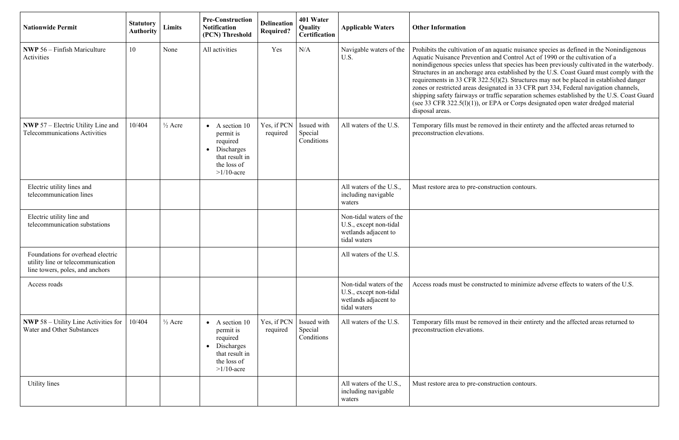| <b>Nationwide Permit</b>                                                                                  | <b>Statutory</b><br><b>Authority</b> | Limits             | <b>Pre-Construction</b><br><b>Notification</b><br>(PCN) Threshold                                                               | <b>Delineation</b><br><b>Required?</b> | 401 Water<br>Quality<br><b>Certification</b> | <b>Applicable Waters</b>                                                                  | <b>Other Information</b>                                                                                                                                                                                                                                                                                       |
|-----------------------------------------------------------------------------------------------------------|--------------------------------------|--------------------|---------------------------------------------------------------------------------------------------------------------------------|----------------------------------------|----------------------------------------------|-------------------------------------------------------------------------------------------|----------------------------------------------------------------------------------------------------------------------------------------------------------------------------------------------------------------------------------------------------------------------------------------------------------------|
| <b>NWP</b> 56 – Finfish Mariculture<br>Activities                                                         | 10                                   | None               | All activities                                                                                                                  | Yes                                    | N/A                                          | Navigable waters of the<br>U.S.                                                           | Prohibits the cultivation of an aq<br>Aquatic Nuisance Prevention an<br>nonindigenous species unless tha<br>Structures in an anchorage area<br>requirements in 33 CFR 322.5(1)<br>zones or restricted areas designa<br>shipping safety fairways or traff<br>(see 33 CFR 322.5(1)(1)), or EP<br>disposal areas. |
| <b>NWP</b> 57 – Electric Utility Line and<br><b>Telecommunications Activities</b>                         | 10/404                               | $\frac{1}{2}$ Acre | A section 10<br>$\bullet$<br>permit is<br>required<br>Discharges<br>$\bullet$<br>that result in<br>the loss of<br>$>1/10$ -acre | Yes, if PCN<br>required                | Issued with<br>Special<br>Conditions         | All waters of the U.S.                                                                    | Temporary fills must be remove<br>preconstruction elevations.                                                                                                                                                                                                                                                  |
| Electric utility lines and<br>telecommunication lines                                                     |                                      |                    |                                                                                                                                 |                                        |                                              | All waters of the U.S.,<br>including navigable<br>waters                                  | Must restore area to pre-construe                                                                                                                                                                                                                                                                              |
| Electric utility line and<br>telecommunication substations                                                |                                      |                    |                                                                                                                                 |                                        |                                              | Non-tidal waters of the<br>U.S., except non-tidal<br>wetlands adjacent to<br>tidal waters |                                                                                                                                                                                                                                                                                                                |
| Foundations for overhead electric<br>utility line or telecommunication<br>line towers, poles, and anchors |                                      |                    |                                                                                                                                 |                                        |                                              | All waters of the U.S.                                                                    |                                                                                                                                                                                                                                                                                                                |
| Access roads                                                                                              |                                      |                    |                                                                                                                                 |                                        |                                              | Non-tidal waters of the<br>U.S., except non-tidal<br>wetlands adjacent to<br>tidal waters | Access roads must be constructe                                                                                                                                                                                                                                                                                |
| <b>NWP</b> 58 – Utility Line Activities for<br>Water and Other Substances                                 | 10/404                               | $\frac{1}{2}$ Acre | A section 10<br>$\bullet$<br>permit is<br>required<br>Discharges<br>$\bullet$<br>that result in<br>the loss of<br>$>1/10$ -acre | Yes, if PCN<br>required                | Issued with<br>Special<br>Conditions         | All waters of the U.S.                                                                    | Temporary fills must be remove<br>preconstruction elevations.                                                                                                                                                                                                                                                  |
| Utility lines                                                                                             |                                      |                    |                                                                                                                                 |                                        |                                              | All waters of the U.S.,<br>including navigable<br>waters                                  | Must restore area to pre-construe                                                                                                                                                                                                                                                                              |

quatic nuisance species as defined in the Nonindigenous Arr Control Act of 1990 or the cultivation of a nat species has been previously cultivated in the waterbody. Structures in an anchorage area established by the U.S. Coast Guard must comply with the requirements in 33 CFR 322.5(l)(2). Structures may not be placed in established danger zones or restricted areas designated in 33 CFR part 334, Federal navigation channels, shipping safety fairways or traffic separation schemes established by the U.S. Coast Guard (see 33 CFR 322.5( $1$ )(1)), or EPA or Corps designated open water dredged material

ed in their entirety and the affected areas returned to

ction contours.

ed to minimize adverse effects to waters of the U.S.

ed in their entirety and the affected areas returned to

ction contours.